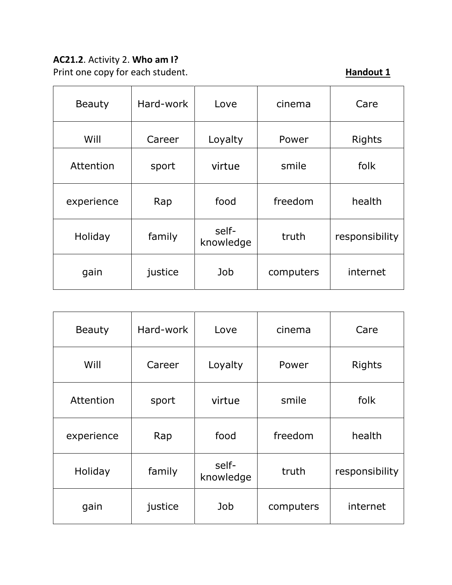# **AC21.2**. Activity 2. **Who am I?**

Print one copy for each student. **Handout 1 Handout 1** 

| <b>Beauty</b> | Hard-work | Love               | cinema    | Care           |
|---------------|-----------|--------------------|-----------|----------------|
| Will          | Career    | Loyalty            | Power     | <b>Rights</b>  |
| Attention     | sport     | virtue             | smile     | folk           |
| experience    | Rap       | food               | freedom   | health         |
| Holiday       | family    | self-<br>knowledge | truth     | responsibility |
| gain          | justice   | Job                | computers | internet       |

| <b>Beauty</b> | Hard-work | Love               | cinema    | Care           |
|---------------|-----------|--------------------|-----------|----------------|
| Will          | Career    | Loyalty            | Power     | <b>Rights</b>  |
| Attention     | sport     | virtue             | smile     | folk           |
| experience    | Rap       | food               | freedom   | health         |
| Holiday       | family    | self-<br>knowledge | truth     | responsibility |
| gain          | justice   | Job                | computers | internet       |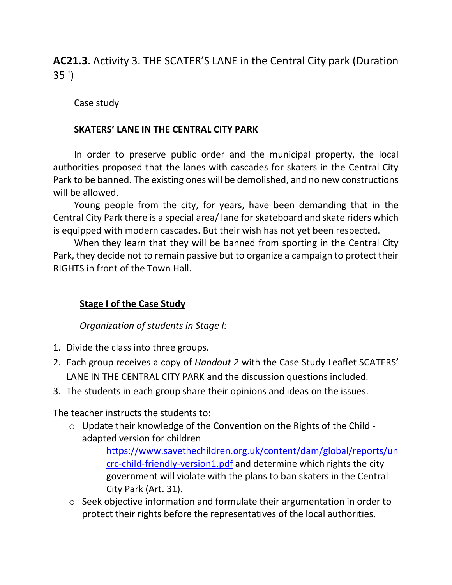**AC21.3**. Activity 3. THE SCATER'S LANE in the Central City park (Duration 35 ')

Case study

### **SKATERS' LANE IN THE CENTRAL CITY PARK**

In order to preserve public order and the municipal property, the local authorities proposed that the lanes with cascades for skaters in the Central City Park to be banned. The existing ones will be demolished, and no new constructions will be allowed.

Young people from the city, for years, have been demanding that in the Central City Park there is a special area/ lane for skateboard and skate riders which is equipped with modern cascades. But their wish has not yet been respected.

When they learn that they will be banned from sporting in the Central City Park, they decide not to remain passive but to organize a campaign to protect their RIGHTS in front of the Town Hall.

### **Stage I of the Case Study**

#### *Organization of students in Stage I:*

- 1. Divide the class into three groups.
- 2. Each group receives a copy of *Handout 2* with the Case Study Leaflet SCATERS' LANE IN THE CENTRAL CITY PARK and the discussion questions included.
- 3. The students in each group share their opinions and ideas on the issues.

The teacher instructs the students to:

o Update their knowledge of the Convention on the Rights of the Child adapted version for children

> [https://www.savethechildren.org.uk/content/dam/global/reports/un](https://www.savethechildren.org.uk/content/dam/global/reports/uncrc-child-friendly-version1.pdf) [crc-child-friendly-version1.pdf](https://www.savethechildren.org.uk/content/dam/global/reports/uncrc-child-friendly-version1.pdf) and determine which rights the city government will violate with the plans to ban skaters in the Central City Park (Art. 31).

o Seek objective information and formulate their argumentation in order to protect their rights before the representatives of the local authorities.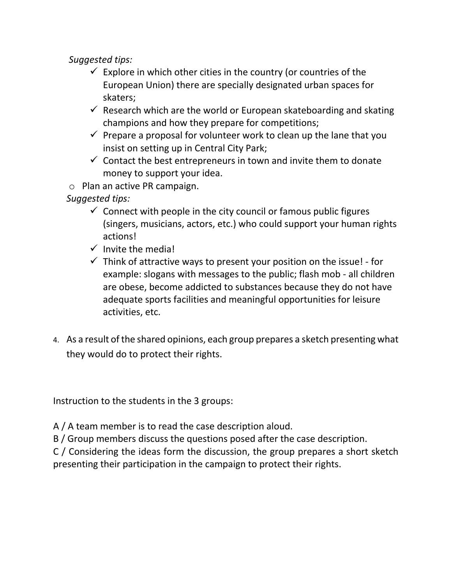*Suggested tips:*

- $\checkmark$  Explore in which other cities in the country (or countries of the European Union) there are specially designated urban spaces for skaters;
- $\checkmark$  Research which are the world or European skateboarding and skating champions and how they prepare for competitions;
- $\checkmark$  Prepare a proposal for volunteer work to clean up the lane that you insist on setting up in Central City Park;
- $\checkmark$  Contact the best entrepreneurs in town and invite them to donate money to support your idea.
- o Plan an active PR campaign.

*Suggested tips:*

- $\checkmark$  Connect with people in the city council or famous public figures (singers, musicians, actors, etc.) who could support your human rights actions!
- $\checkmark$  Invite the media!
- $\checkmark$  Think of attractive ways to present your position on the issue! for example: slogans with messages to the public; flash mob - all children are obese, become addicted to substances because they do not have adequate sports facilities and meaningful opportunities for leisure activities, etc.
- 4. As a result of the shared opinions, each group prepares a sketch presenting what they would do to protect their rights.

Instruction to the students in the 3 groups:

A / A team member is to read the case description aloud.

B / Group members discuss the questions posed after the case description.

C / Considering the ideas form the discussion, the group prepares a short sketch presenting their participation in the campaign to protect their rights.